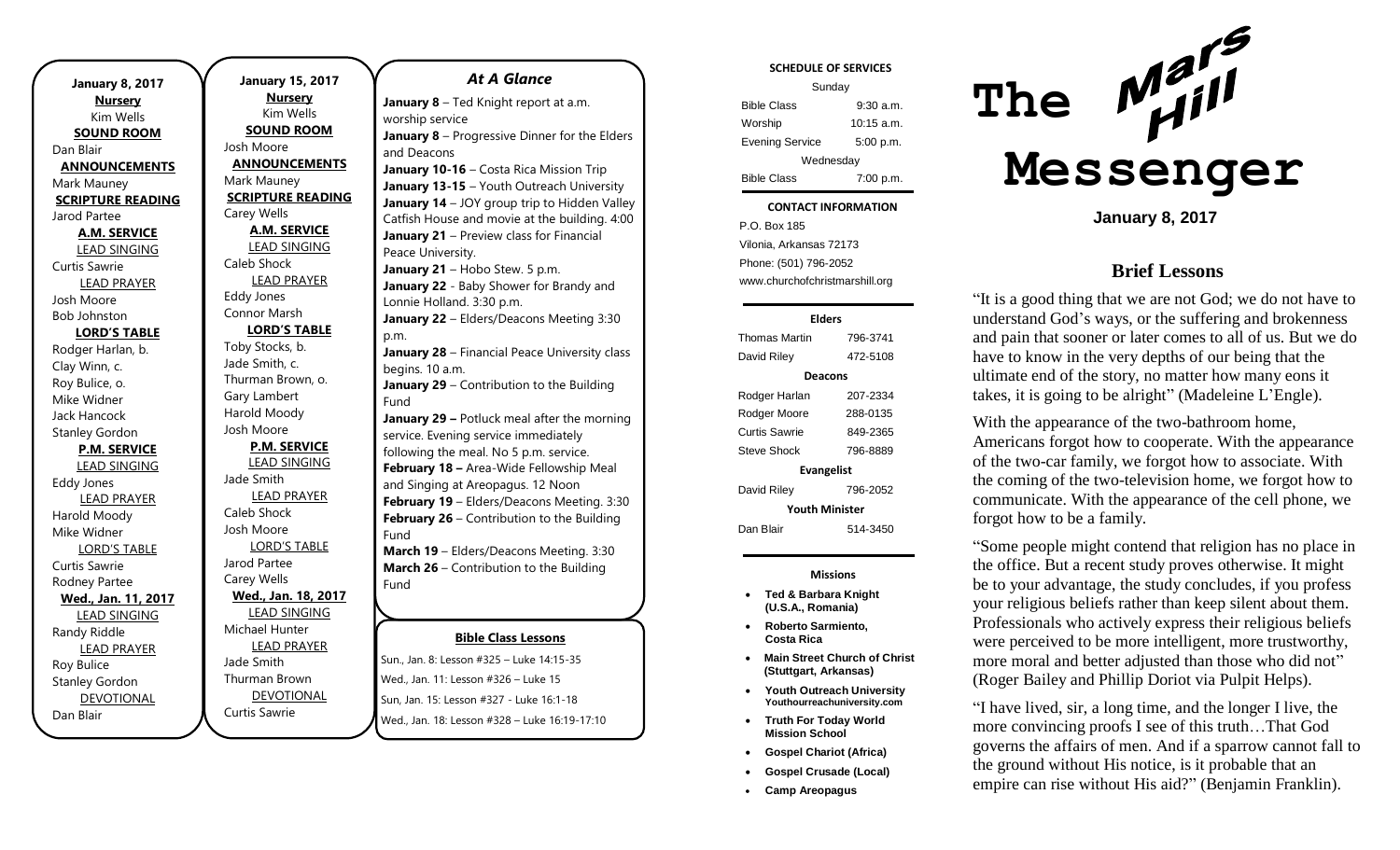| <b>January 8, 2017</b><br><b>Nursery</b> |  |  |
|------------------------------------------|--|--|
| Kim Wells                                |  |  |
| <b>SOUND ROOM</b>                        |  |  |
| Dan Blair                                |  |  |
| <b>ANNOUNCEMENTS</b>                     |  |  |
| Mark Mauney                              |  |  |
| <b>SCRIPTURE READING</b>                 |  |  |
| Jarod Partee                             |  |  |
| <b>A.M. SERVICE</b>                      |  |  |
| LEAD SINGING                             |  |  |
| <b>Curtis Sawrie</b>                     |  |  |
| <b>LEAD PRAYER</b>                       |  |  |
| Josh Moore                               |  |  |
| <b>Bob Johnston</b>                      |  |  |
| <b>LORD'S TABLE</b>                      |  |  |
| Rodger Harlan, b.                        |  |  |
| Clay Winn, c.                            |  |  |
| Roy Bulice, o.                           |  |  |
| Mike Widner                              |  |  |
| <b>Jack Hancock</b>                      |  |  |
| <b>Stanley Gordon</b>                    |  |  |
| <b>P.M. SERVICE</b>                      |  |  |
| <b>LEAD SINGING</b>                      |  |  |
| <b>Eddy Jones</b>                        |  |  |
| <b>LEAD PRAYER</b>                       |  |  |
| Harold Moody                             |  |  |
| Mike Widner                              |  |  |
| <b>LORD'S TABLE</b>                      |  |  |
| Curtis Sawrie                            |  |  |
| Rodney Partee                            |  |  |
| Wed., Jan. 11, 2017                      |  |  |
| <b>LEAD SINGING</b>                      |  |  |
| Randy Riddle                             |  |  |
| <b>LEAD PRAYER</b>                       |  |  |
| Roy Bulice                               |  |  |
| <b>Stanley Gordon</b>                    |  |  |
| <b>DEVOTIONAL</b>                        |  |  |
| Dan Blair                                |  |  |

**January 15, 2017 Nursery** Kim Wells **SOUND ROOM** Josh Moore **ANNOUNCEMENTS** Mark Mauney **SCRIPTURE READING** Carey Wells **A.M. SERVICE** LEAD SINGING Caleb Shock LEAD PRAYER Eddy Jones Connor Marsh **LORD'S TABLE** Toby Stocks, b. Jade Smith, c. Thurman Brown, o. Gary Lambert Harold Moody Josh Moore **P.M. SERVICE** LEAD SINGING Jade Smith LEAD PRAYER Caleb Shock Josh Moore LORD'S TABLE Jarod Partee Carey Wells **Wed., Jan. 18, 2017** LEAD SINGING Michael Hunter LEAD PRAYER Jade Smith Thurman Brown

DEVOTIONAL

Curtis Sawrie

#### *At A Glance*

**January 8** – Ted Knight report at a.m. worship service **January 8** – Progressive Dinner for the Elders and Deacons

**January 10-16** – Costa Rica Mission Trip **January 13-15** – Youth Outreach University **January 14** – JOY group trip to Hidden Valley Catfish House and movie at the building. 4:00 **January 21** – Preview class for Financial Peace University. January 21 - Hobo Stew. 5 p.m.

**January 22** - Baby Shower for Brandy and Lonnie Holland. 3:30 p.m.

**January 22** – Elders/Deacons Meeting 3:30 p.m. **January 28** – Financial Peace University class

begins. 10 a.m. **January 29** – Contribution to the Building

Fund **January 29 –** Potluck meal after the morning service. Evening service immediately following the meal. No 5 p.m. service.

**February 18 –** Area-Wide Fellowship Meal and Singing at Areopagus. 12 Noon **February 19** – Elders/Deacons Meeting. 3:30 **February 26** – Contribution to the Building Fund

**March 19** – Elders/Deacons Meeting. 3:30 **March 26** – Contribution to the Building Fund

### **Bible Class Lessons**

**April 21-22 –** Sewing Workshop for Healing

Sun., Jan. 8: Lesson #325 – Luke 14:15-35 Wed., Jan. 11: Lesson #326 – Luke 15 Sun, Jan. 15: Lesson #327 - Luke 16:1-18 Wed., Jan. 18: Lesson #328 - Luke 16:19-17:10 **April 30 <b>Little Street to the Building function** to the Building function of the Building function of the Building of Building function of the Building of Building function of the Building of Building function of the Bui **Wed., Jan. TT. Lesson #326 – Luke T5** 

#### **SCHEDULE OF SERVICES**

| Sunday                 |              |  |
|------------------------|--------------|--|
| <b>Bible Class</b>     | $9:30$ a.m.  |  |
| Worship                | $10:15$ a.m. |  |
| <b>Evening Service</b> | 5:00 p.m.    |  |
| Wednesday              |              |  |
| <b>Bible Class</b>     | 7:00 p.m.    |  |

#### Tuesday **CONTACT INFORMATION**

. .o. Bex 166<br>Vilonia, Arkansas 72173 P.O. Box 185 Phone: (501) 796-2052 www.churchofchristmarshill.org

## **Elders** Thomas Martin 796-3741 David Riley 472-5108 **Deacons** Rodger Harlan 207-2334 Rodger Moore 288-0135 Curtis Sawrie 849-2365 Steve Shock 796-8889 **Evangelist** David Riley 796-2052 **Youth Minister** Dan Blair 514-3450

**Missions**

- **Ted & Barbara Knight (U.S.A., Romania)**
- **Roberto Sarmiento, Costa Rica**
- **Main Street Church of Christ (Stuttgart, Arkansas)**
- **Youth Outreach University Youthourreachuniversity.com**
- **Truth For Today World Mission School**
- **Gospel Chariot (Africa)**
- **Gospel Crusade (Local)**
- **Camp Areopagus**



**January 8, 2017**

## **Brief Lessons**

"It is a good thing that we are not God; we do not have to understand God's ways, or the suffering and brokenness and pain that sooner or later comes to all of us. But we do have to know in the very depths of our being that the ultimate end of the story, no matter how many eons it takes, it is going to be alright" (Madeleine L'Engle).

With the appearance of the two-bathroom home, Americans forgot how to cooperate. With the appearance of the two-car family, we forgot how to associate. With the coming of the two-television home, we forgot how to communicate. With the appearance of the cell phone, we forgot how to be a family.

"Some people might contend that religion has no place in the office. But a recent study proves otherwise. It might be to your advantage, the study concludes, if you profess your religious beliefs rather than keep silent about them. Professionals who actively express their religious beliefs were perceived to be more intelligent, more trustworthy, more moral and better adjusted than those who did not" (Roger Bailey and Phillip Doriot via Pulpit Helps).

"I have lived, sir, a long time, and the longer I live, the more convincing proofs I see of this truth…That God governs the affairs of men. And if a sparrow cannot fall to the ground without His notice, is it probable that an empire can rise without His aid?" (Benjamin Franklin).